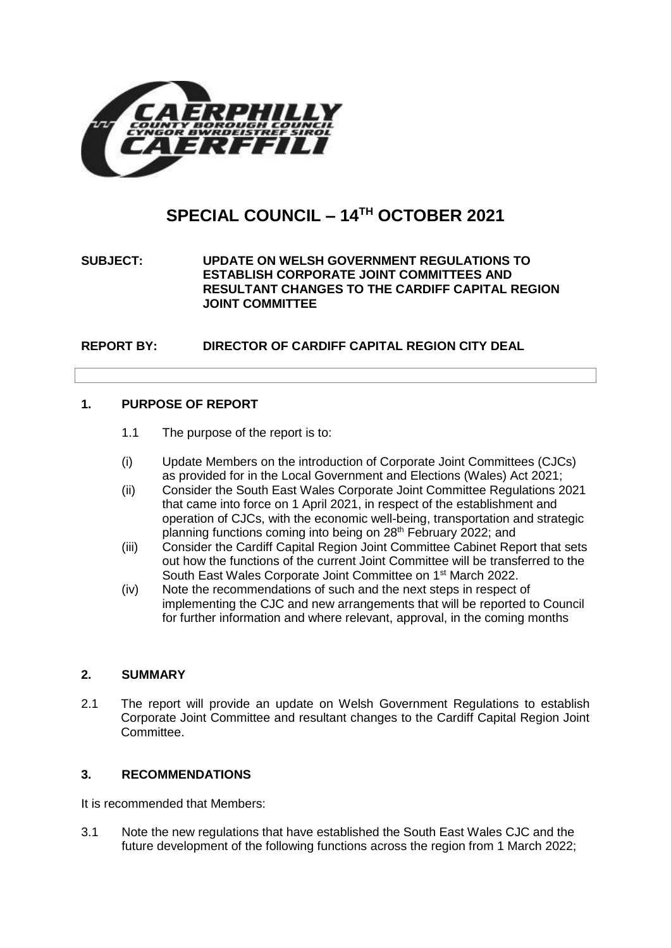

# **SPECIAL COUNCIL – 14TH OCTOBER 2021**

# **SUBJECT: UPDATE ON WELSH GOVERNMENT REGULATIONS TO ESTABLISH CORPORATE JOINT COMMITTEES AND RESULTANT CHANGES TO THE CARDIFF CAPITAL REGION JOINT COMMITTEE**

**REPORT BY: DIRECTOR OF CARDIFF CAPITAL REGION CITY DEAL**

#### **1. PURPOSE OF REPORT**

- 1.1 The purpose of the report is to:
- (i) Update Members on the introduction of Corporate Joint Committees (CJCs) as provided for in the Local Government and Elections (Wales) Act 2021;
- (ii) Consider the South East Wales Corporate Joint Committee Regulations 2021 that came into force on 1 April 2021, in respect of the establishment and operation of CJCs, with the economic well-being, transportation and strategic planning functions coming into being on 28<sup>th</sup> February 2022; and
- (iii) Consider the Cardiff Capital Region Joint Committee Cabinet Report that sets out how the functions of the current Joint Committee will be transferred to the South East Wales Corporate Joint Committee on 1<sup>st</sup> March 2022.
- (iv) Note the recommendations of such and the next steps in respect of implementing the CJC and new arrangements that will be reported to Council for further information and where relevant, approval, in the coming months

#### **2. SUMMARY**

2.1 The report will provide an update on Welsh Government Regulations to establish Corporate Joint Committee and resultant changes to the Cardiff Capital Region Joint Committee.

#### **3. RECOMMENDATIONS**

It is recommended that Members:

3.1 Note the new regulations that have established the South East Wales CJC and the future development of the following functions across the region from 1 March 2022;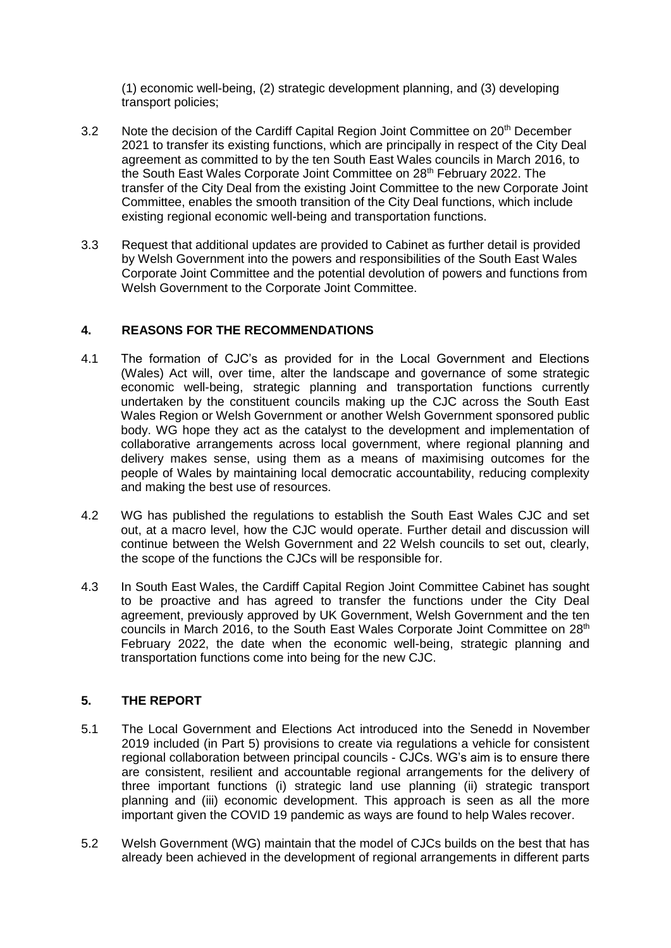(1) economic well-being, (2) strategic development planning, and (3) developing transport policies;

- 3.2 Note the decision of the Cardiff Capital Region Joint Committee on 20<sup>th</sup> December 2021 to transfer its existing functions, which are principally in respect of the City Deal agreement as committed to by the ten South East Wales councils in March 2016, to the South East Wales Corporate Joint Committee on 28<sup>th</sup> February 2022. The transfer of the City Deal from the existing Joint Committee to the new Corporate Joint Committee, enables the smooth transition of the City Deal functions, which include existing regional economic well-being and transportation functions.
- 3.3 Request that additional updates are provided to Cabinet as further detail is provided by Welsh Government into the powers and responsibilities of the South East Wales Corporate Joint Committee and the potential devolution of powers and functions from Welsh Government to the Corporate Joint Committee.

# **4. REASONS FOR THE RECOMMENDATIONS**

- 4.1 The formation of CJC's as provided for in the Local Government and Elections (Wales) Act will, over time, alter the landscape and governance of some strategic economic well-being, strategic planning and transportation functions currently undertaken by the constituent councils making up the CJC across the South East Wales Region or Welsh Government or another Welsh Government sponsored public body. WG hope they act as the catalyst to the development and implementation of collaborative arrangements across local government, where regional planning and delivery makes sense, using them as a means of maximising outcomes for the people of Wales by maintaining local democratic accountability, reducing complexity and making the best use of resources.
- 4.2 WG has published the regulations to establish the South East Wales CJC and set out, at a macro level, how the CJC would operate. Further detail and discussion will continue between the Welsh Government and 22 Welsh councils to set out, clearly, the scope of the functions the CJCs will be responsible for.
- 4.3 In South East Wales, the Cardiff Capital Region Joint Committee Cabinet has sought to be proactive and has agreed to transfer the functions under the City Deal agreement, previously approved by UK Government, Welsh Government and the ten councils in March 2016, to the South East Wales Corporate Joint Committee on 28<sup>th</sup> February 2022, the date when the economic well-being, strategic planning and transportation functions come into being for the new CJC.

# **5. THE REPORT**

- 5.1 The Local Government and Elections Act introduced into the Senedd in November 2019 included (in Part 5) provisions to create via regulations a vehicle for consistent regional collaboration between principal councils - CJCs. WG's aim is to ensure there are consistent, resilient and accountable regional arrangements for the delivery of three important functions (i) strategic land use planning (ii) strategic transport planning and (iii) economic development. This approach is seen as all the more important given the COVID 19 pandemic as ways are found to help Wales recover.
- 5.2 Welsh Government (WG) maintain that the model of CJCs builds on the best that has already been achieved in the development of regional arrangements in different parts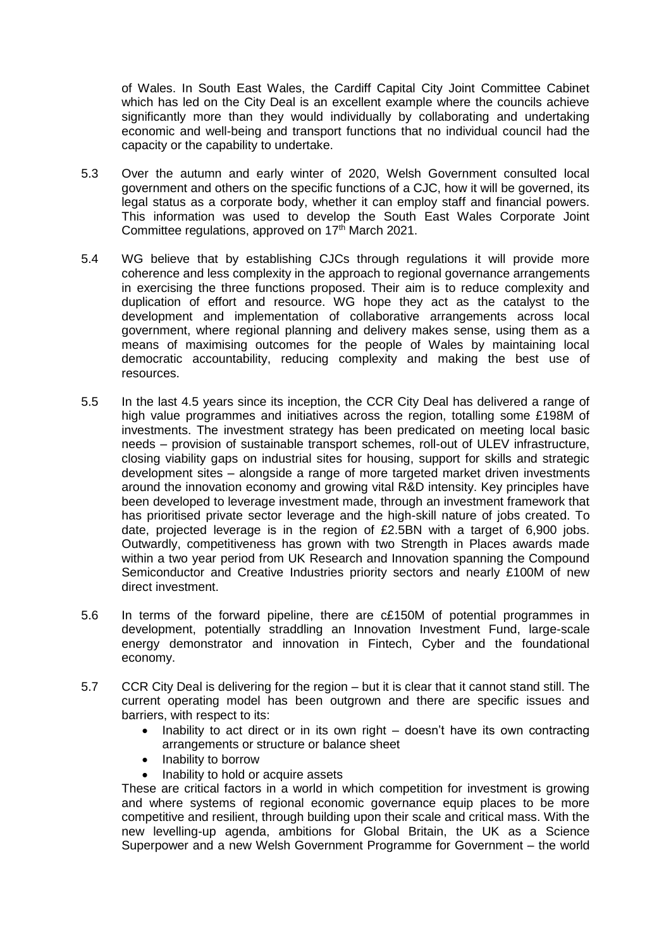of Wales. In South East Wales, the Cardiff Capital City Joint Committee Cabinet which has led on the City Deal is an excellent example where the councils achieve significantly more than they would individually by collaborating and undertaking economic and well-being and transport functions that no individual council had the capacity or the capability to undertake.

- 5.3 Over the autumn and early winter of 2020, Welsh Government consulted local government and others on the specific functions of a CJC, how it will be governed, its legal status as a corporate body, whether it can employ staff and financial powers. This information was used to develop the South East Wales Corporate Joint Committee regulations, approved on 17<sup>th</sup> March 2021.
- 5.4 WG believe that by establishing CJCs through regulations it will provide more coherence and less complexity in the approach to regional governance arrangements in exercising the three functions proposed. Their aim is to reduce complexity and duplication of effort and resource. WG hope they act as the catalyst to the development and implementation of collaborative arrangements across local government, where regional planning and delivery makes sense, using them as a means of maximising outcomes for the people of Wales by maintaining local democratic accountability, reducing complexity and making the best use of resources.
- 5.5 In the last 4.5 years since its inception, the CCR City Deal has delivered a range of high value programmes and initiatives across the region, totalling some £198M of investments. The investment strategy has been predicated on meeting local basic needs – provision of sustainable transport schemes, roll-out of ULEV infrastructure, closing viability gaps on industrial sites for housing, support for skills and strategic development sites – alongside a range of more targeted market driven investments around the innovation economy and growing vital R&D intensity. Key principles have been developed to leverage investment made, through an investment framework that has prioritised private sector leverage and the high-skill nature of jobs created. To date, projected leverage is in the region of £2.5BN with a target of 6,900 jobs. Outwardly, competitiveness has grown with two Strength in Places awards made within a two year period from UK Research and Innovation spanning the Compound Semiconductor and Creative Industries priority sectors and nearly £100M of new direct investment.
- 5.6 In terms of the forward pipeline, there are c£150M of potential programmes in development, potentially straddling an Innovation Investment Fund, large-scale energy demonstrator and innovation in Fintech, Cyber and the foundational economy.
- 5.7 CCR City Deal is delivering for the region but it is clear that it cannot stand still. The current operating model has been outgrown and there are specific issues and barriers, with respect to its:
	- Inability to act direct or in its own right doesn't have its own contracting arrangements or structure or balance sheet
	- Inability to borrow
	- Inability to hold or acquire assets

These are critical factors in a world in which competition for investment is growing and where systems of regional economic governance equip places to be more competitive and resilient, through building upon their scale and critical mass. With the new levelling-up agenda, ambitions for Global Britain, the UK as a Science Superpower and a new Welsh Government Programme for Government – the world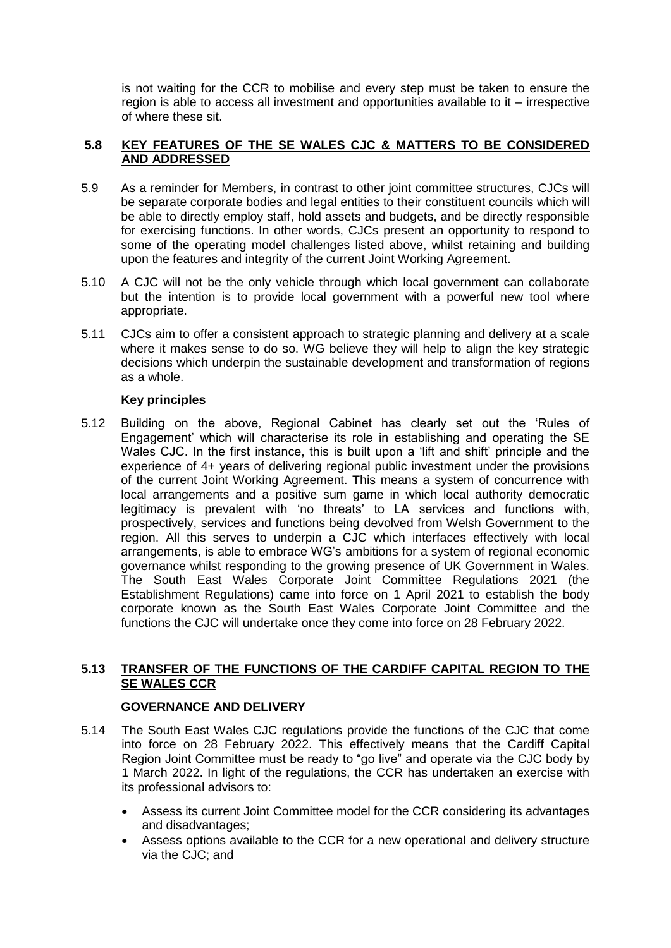is not waiting for the CCR to mobilise and every step must be taken to ensure the region is able to access all investment and opportunities available to it – irrespective of where these sit.

#### **5.8 KEY FEATURES OF THE SE WALES CJC & MATTERS TO BE CONSIDERED AND ADDRESSED**

- 5.9 As a reminder for Members, in contrast to other joint committee structures, CJCs will be separate corporate bodies and legal entities to their constituent councils which will be able to directly employ staff, hold assets and budgets, and be directly responsible for exercising functions. In other words, CJCs present an opportunity to respond to some of the operating model challenges listed above, whilst retaining and building upon the features and integrity of the current Joint Working Agreement.
- 5.10 A CJC will not be the only vehicle through which local government can collaborate but the intention is to provide local government with a powerful new tool where appropriate.
- 5.11 CJCs aim to offer a consistent approach to strategic planning and delivery at a scale where it makes sense to do so. WG believe they will help to align the key strategic decisions which underpin the sustainable development and transformation of regions as a whole.

### **Key principles**

5.12 Building on the above, Regional Cabinet has clearly set out the 'Rules of Engagement' which will characterise its role in establishing and operating the SE Wales CJC. In the first instance, this is built upon a 'lift and shift' principle and the experience of 4+ years of delivering regional public investment under the provisions of the current Joint Working Agreement. This means a system of concurrence with local arrangements and a positive sum game in which local authority democratic legitimacy is prevalent with 'no threats' to LA services and functions with, prospectively, services and functions being devolved from Welsh Government to the region. All this serves to underpin a CJC which interfaces effectively with local arrangements, is able to embrace WG's ambitions for a system of regional economic governance whilst responding to the growing presence of UK Government in Wales. The South East Wales Corporate Joint Committee Regulations 2021 (the Establishment Regulations) came into force on 1 April 2021 to establish the body corporate known as the South East Wales Corporate Joint Committee and the functions the CJC will undertake once they come into force on 28 February 2022.

# **5.13 TRANSFER OF THE FUNCTIONS OF THE CARDIFF CAPITAL REGION TO THE SE WALES CCR**

#### **GOVERNANCE AND DELIVERY**

- 5.14 The South East Wales CJC regulations provide the functions of the CJC that come into force on 28 February 2022. This effectively means that the Cardiff Capital Region Joint Committee must be ready to "go live" and operate via the CJC body by 1 March 2022. In light of the regulations, the CCR has undertaken an exercise with its professional advisors to:
	- Assess its current Joint Committee model for the CCR considering its advantages and disadvantages;
	- Assess options available to the CCR for a new operational and delivery structure via the CJC; and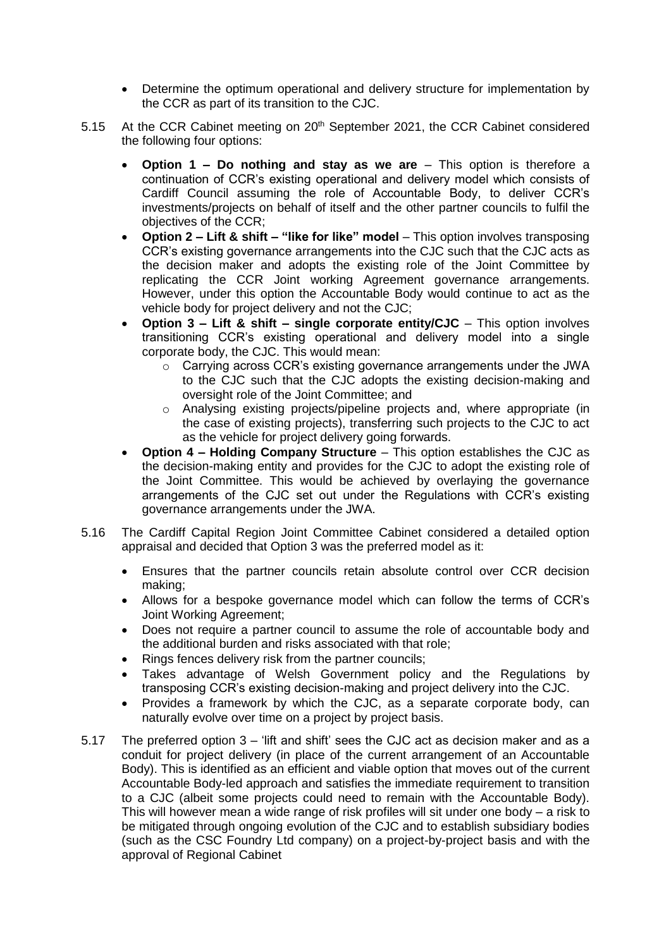- Determine the optimum operational and delivery structure for implementation by the CCR as part of its transition to the CJC.
- 5.15 At the CCR Cabinet meeting on 20<sup>th</sup> September 2021, the CCR Cabinet considered the following four options:
	- **Option 1 – Do nothing and stay as we are** This option is therefore a continuation of CCR's existing operational and delivery model which consists of Cardiff Council assuming the role of Accountable Body, to deliver CCR's investments/projects on behalf of itself and the other partner councils to fulfil the objectives of the CCR;
	- **Option 2 – Lift & shift – "like for like" model** This option involves transposing CCR's existing governance arrangements into the CJC such that the CJC acts as the decision maker and adopts the existing role of the Joint Committee by replicating the CCR Joint working Agreement governance arrangements. However, under this option the Accountable Body would continue to act as the vehicle body for project delivery and not the CJC;
	- **Option 3 – Lift & shift – single corporate entity/CJC** This option involves transitioning CCR's existing operational and delivery model into a single corporate body, the CJC. This would mean:
		- $\circ$  Carrying across CCR's existing governance arrangements under the JWA to the CJC such that the CJC adopts the existing decision-making and oversight role of the Joint Committee; and
		- o Analysing existing projects/pipeline projects and, where appropriate (in the case of existing projects), transferring such projects to the CJC to act as the vehicle for project delivery going forwards.
	- **Option 4 – Holding Company Structure** This option establishes the CJC as the decision-making entity and provides for the CJC to adopt the existing role of the Joint Committee. This would be achieved by overlaying the governance arrangements of the CJC set out under the Regulations with CCR's existing governance arrangements under the JWA.
- 5.16 The Cardiff Capital Region Joint Committee Cabinet considered a detailed option appraisal and decided that Option 3 was the preferred model as it:
	- Ensures that the partner councils retain absolute control over CCR decision making;
	- Allows for a bespoke governance model which can follow the terms of CCR's Joint Working Agreement;
	- Does not require a partner council to assume the role of accountable body and the additional burden and risks associated with that role;
	- Rings fences delivery risk from the partner councils;
	- Takes advantage of Welsh Government policy and the Regulations by transposing CCR's existing decision-making and project delivery into the CJC.
	- Provides a framework by which the CJC, as a separate corporate body, can naturally evolve over time on a project by project basis.
- 5.17 The preferred option 3 'lift and shift' sees the CJC act as decision maker and as a conduit for project delivery (in place of the current arrangement of an Accountable Body). This is identified as an efficient and viable option that moves out of the current Accountable Body-led approach and satisfies the immediate requirement to transition to a CJC (albeit some projects could need to remain with the Accountable Body). This will however mean a wide range of risk profiles will sit under one body – a risk to be mitigated through ongoing evolution of the CJC and to establish subsidiary bodies (such as the CSC Foundry Ltd company) on a project-by-project basis and with the approval of Regional Cabinet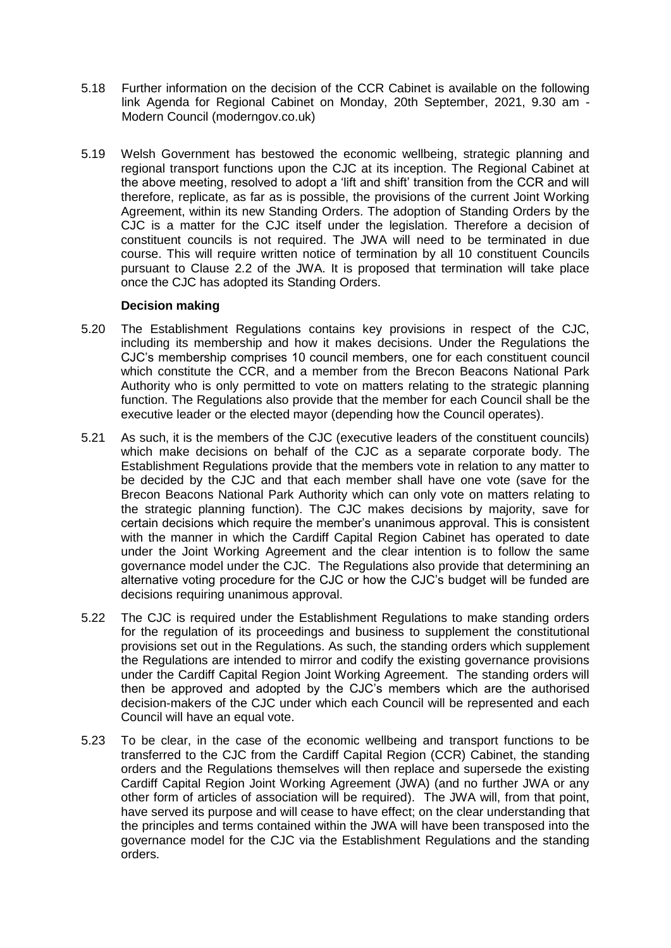- 5.18 Further information on the decision of the CCR Cabinet is available on the following link [Agenda for Regional Cabinet on Monday, 20th September, 2021, 9.30 am -](https://cardiffcapitalregion.moderngov.co.uk/ieListDocuments.aspx?CId=141&MId=147&Ver=4) [Modern Council \(moderngov.co.uk\)](https://cardiffcapitalregion.moderngov.co.uk/ieListDocuments.aspx?CId=141&MId=147&Ver=4)
- 5.19 Welsh Government has bestowed the economic wellbeing, strategic planning and regional transport functions upon the CJC at its inception. The Regional Cabinet at the above meeting, resolved to adopt a 'lift and shift' transition from the CCR and will therefore, replicate, as far as is possible, the provisions of the current Joint Working Agreement, within its new Standing Orders. The adoption of Standing Orders by the CJC is a matter for the CJC itself under the legislation. Therefore a decision of constituent councils is not required. The JWA will need to be terminated in due course. This will require written notice of termination by all 10 constituent Councils pursuant to Clause 2.2 of the JWA. It is proposed that termination will take place once the CJC has adopted its Standing Orders.

#### **Decision making**

- 5.20 The Establishment Regulations contains key provisions in respect of the CJC, including its membership and how it makes decisions. Under the Regulations the CJC's membership comprises 10 council members, one for each constituent council which constitute the CCR, and a member from the Brecon Beacons National Park Authority who is only permitted to vote on matters relating to the strategic planning function. The Regulations also provide that the member for each Council shall be the executive leader or the elected mayor (depending how the Council operates).
- 5.21 As such, it is the members of the CJC (executive leaders of the constituent councils) which make decisions on behalf of the CJC as a separate corporate body. The Establishment Regulations provide that the members vote in relation to any matter to be decided by the CJC and that each member shall have one vote (save for the Brecon Beacons National Park Authority which can only vote on matters relating to the strategic planning function). The CJC makes decisions by majority, save for certain decisions which require the member's unanimous approval. This is consistent with the manner in which the Cardiff Capital Region Cabinet has operated to date under the Joint Working Agreement and the clear intention is to follow the same governance model under the CJC. The Regulations also provide that determining an alternative voting procedure for the CJC or how the CJC's budget will be funded are decisions requiring unanimous approval.
- 5.22 The CJC is required under the Establishment Regulations to make standing orders for the regulation of its proceedings and business to supplement the constitutional provisions set out in the Regulations. As such, the standing orders which supplement the Regulations are intended to mirror and codify the existing governance provisions under the Cardiff Capital Region Joint Working Agreement. The standing orders will then be approved and adopted by the CJC's members which are the authorised decision-makers of the CJC under which each Council will be represented and each Council will have an equal vote.
- 5.23 To be clear, in the case of the economic wellbeing and transport functions to be transferred to the CJC from the Cardiff Capital Region (CCR) Cabinet, the standing orders and the Regulations themselves will then replace and supersede the existing Cardiff Capital Region Joint Working Agreement (JWA) (and no further JWA or any other form of articles of association will be required). The JWA will, from that point, have served its purpose and will cease to have effect; on the clear understanding that the principles and terms contained within the JWA will have been transposed into the governance model for the CJC via the Establishment Regulations and the standing orders.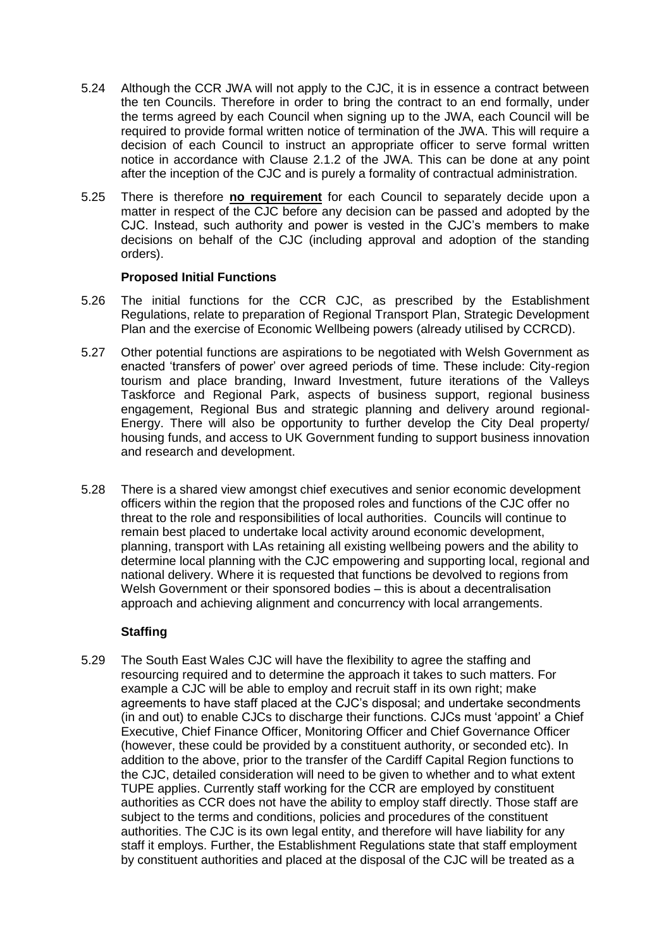- 5.24 Although the CCR JWA will not apply to the CJC, it is in essence a contract between the ten Councils. Therefore in order to bring the contract to an end formally, under the terms agreed by each Council when signing up to the JWA, each Council will be required to provide formal written notice of termination of the JWA. This will require a decision of each Council to instruct an appropriate officer to serve formal written notice in accordance with Clause 2.1.2 of the JWA. This can be done at any point after the inception of the CJC and is purely a formality of contractual administration.
- 5.25 There is therefore **no requirement** for each Council to separately decide upon a matter in respect of the CJC before any decision can be passed and adopted by the CJC. Instead, such authority and power is vested in the CJC's members to make decisions on behalf of the CJC (including approval and adoption of the standing orders).

#### **Proposed Initial Functions**

- 5.26 The initial functions for the CCR CJC, as prescribed by the Establishment Regulations, relate to preparation of Regional Transport Plan, Strategic Development Plan and the exercise of Economic Wellbeing powers (already utilised by CCRCD).
- 5.27 Other potential functions are aspirations to be negotiated with Welsh Government as enacted 'transfers of power' over agreed periods of time. These include: City-region tourism and place branding, Inward Investment, future iterations of the Valleys Taskforce and Regional Park, aspects of business support, regional business engagement, Regional Bus and strategic planning and delivery around regional-Energy. There will also be opportunity to further develop the City Deal property/ housing funds, and access to UK Government funding to support business innovation and research and development.
- 5.28 There is a shared view amongst chief executives and senior economic development officers within the region that the proposed roles and functions of the CJC offer no threat to the role and responsibilities of local authorities. Councils will continue to remain best placed to undertake local activity around economic development, planning, transport with LAs retaining all existing wellbeing powers and the ability to determine local planning with the CJC empowering and supporting local, regional and national delivery. Where it is requested that functions be devolved to regions from Welsh Government or their sponsored bodies – this is about a decentralisation approach and achieving alignment and concurrency with local arrangements.

#### **Staffing**

5.29 The South East Wales CJC will have the flexibility to agree the staffing and resourcing required and to determine the approach it takes to such matters. For example a CJC will be able to employ and recruit staff in its own right; make agreements to have staff placed at the CJC's disposal; and undertake secondments (in and out) to enable CJCs to discharge their functions. CJCs must 'appoint' a Chief Executive, Chief Finance Officer, Monitoring Officer and Chief Governance Officer (however, these could be provided by a constituent authority, or seconded etc). In addition to the above, prior to the transfer of the Cardiff Capital Region functions to the CJC, detailed consideration will need to be given to whether and to what extent TUPE applies. Currently staff working for the CCR are employed by constituent authorities as CCR does not have the ability to employ staff directly. Those staff are subject to the terms and conditions, policies and procedures of the constituent authorities. The CJC is its own legal entity, and therefore will have liability for any staff it employs. Further, the Establishment Regulations state that staff employment by constituent authorities and placed at the disposal of the CJC will be treated as a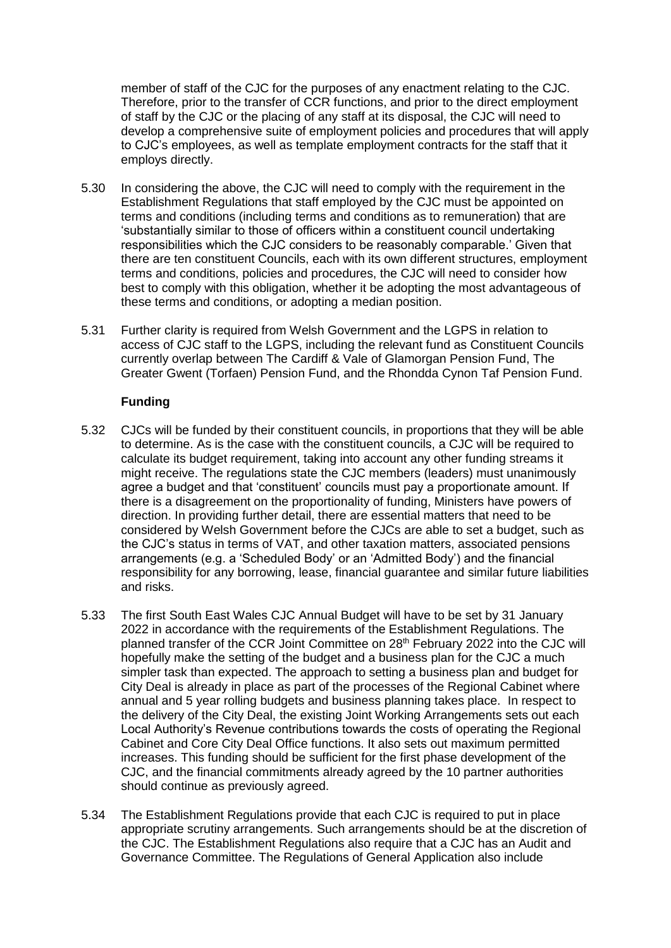member of staff of the CJC for the purposes of any enactment relating to the CJC. Therefore, prior to the transfer of CCR functions, and prior to the direct employment of staff by the CJC or the placing of any staff at its disposal, the CJC will need to develop a comprehensive suite of employment policies and procedures that will apply to CJC's employees, as well as template employment contracts for the staff that it employs directly.

- 5.30 In considering the above, the CJC will need to comply with the requirement in the Establishment Regulations that staff employed by the CJC must be appointed on terms and conditions (including terms and conditions as to remuneration) that are 'substantially similar to those of officers within a constituent council undertaking responsibilities which the CJC considers to be reasonably comparable.' Given that there are ten constituent Councils, each with its own different structures, employment terms and conditions, policies and procedures, the CJC will need to consider how best to comply with this obligation, whether it be adopting the most advantageous of these terms and conditions, or adopting a median position.
- 5.31 Further clarity is required from Welsh Government and the LGPS in relation to access of CJC staff to the LGPS, including the relevant fund as Constituent Councils currently overlap between The Cardiff & Vale of Glamorgan Pension Fund, The Greater Gwent (Torfaen) Pension Fund, and the Rhondda Cynon Taf Pension Fund.

#### **Funding**

- 5.32 CJCs will be funded by their constituent councils, in proportions that they will be able to determine. As is the case with the constituent councils, a CJC will be required to calculate its budget requirement, taking into account any other funding streams it might receive. The regulations state the CJC members (leaders) must unanimously agree a budget and that 'constituent' councils must pay a proportionate amount. If there is a disagreement on the proportionality of funding, Ministers have powers of direction. In providing further detail, there are essential matters that need to be considered by Welsh Government before the CJCs are able to set a budget, such as the CJC's status in terms of VAT, and other taxation matters, associated pensions arrangements (e.g. a 'Scheduled Body' or an 'Admitted Body') and the financial responsibility for any borrowing, lease, financial guarantee and similar future liabilities and risks.
- 5.33 The first South East Wales CJC Annual Budget will have to be set by 31 January 2022 in accordance with the requirements of the Establishment Regulations. The planned transfer of the CCR Joint Committee on 28<sup>th</sup> February 2022 into the CJC will hopefully make the setting of the budget and a business plan for the CJC a much simpler task than expected. The approach to setting a business plan and budget for City Deal is already in place as part of the processes of the Regional Cabinet where annual and 5 year rolling budgets and business planning takes place. In respect to the delivery of the City Deal, the existing Joint Working Arrangements sets out each Local Authority's Revenue contributions towards the costs of operating the Regional Cabinet and Core City Deal Office functions. It also sets out maximum permitted increases. This funding should be sufficient for the first phase development of the CJC, and the financial commitments already agreed by the 10 partner authorities should continue as previously agreed.
- 5.34 The Establishment Regulations provide that each CJC is required to put in place appropriate scrutiny arrangements. Such arrangements should be at the discretion of the CJC. The Establishment Regulations also require that a CJC has an Audit and Governance Committee. The Regulations of General Application also include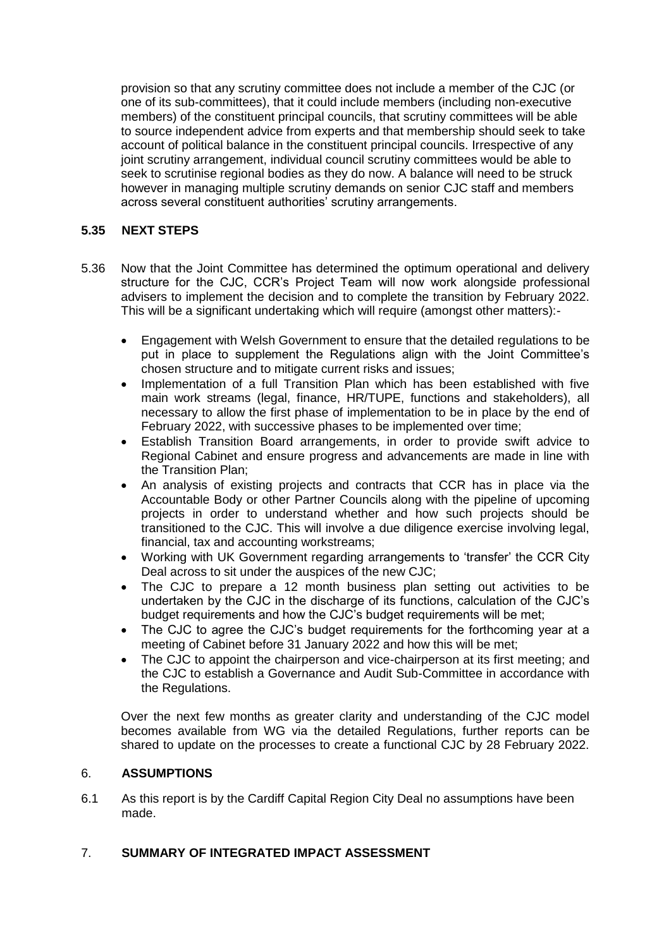provision so that any scrutiny committee does not include a member of the CJC (or one of its sub-committees), that it could include members (including non-executive members) of the constituent principal councils, that scrutiny committees will be able to source independent advice from experts and that membership should seek to take account of political balance in the constituent principal councils. Irrespective of any joint scrutiny arrangement, individual council scrutiny committees would be able to seek to scrutinise regional bodies as they do now. A balance will need to be struck however in managing multiple scrutiny demands on senior CJC staff and members across several constituent authorities' scrutiny arrangements.

# **5.35 NEXT STEPS**

- 5.36 Now that the Joint Committee has determined the optimum operational and delivery structure for the CJC, CCR's Project Team will now work alongside professional advisers to implement the decision and to complete the transition by February 2022. This will be a significant undertaking which will require (amongst other matters):-
	- Engagement with Welsh Government to ensure that the detailed regulations to be put in place to supplement the Regulations align with the Joint Committee's chosen structure and to mitigate current risks and issues;
	- Implementation of a full Transition Plan which has been established with five main work streams (legal, finance, HR/TUPE, functions and stakeholders), all necessary to allow the first phase of implementation to be in place by the end of February 2022, with successive phases to be implemented over time;
	- Establish Transition Board arrangements, in order to provide swift advice to Regional Cabinet and ensure progress and advancements are made in line with the Transition Plan;
	- An analysis of existing projects and contracts that CCR has in place via the Accountable Body or other Partner Councils along with the pipeline of upcoming projects in order to understand whether and how such projects should be transitioned to the CJC. This will involve a due diligence exercise involving legal, financial, tax and accounting workstreams;
	- Working with UK Government regarding arrangements to 'transfer' the CCR City Deal across to sit under the auspices of the new CJC;
	- The CJC to prepare a 12 month business plan setting out activities to be undertaken by the CJC in the discharge of its functions, calculation of the CJC's budget requirements and how the CJC's budget requirements will be met;
	- The CJC to agree the CJC's budget requirements for the forthcoming year at a meeting of Cabinet before 31 January 2022 and how this will be met;
	- The CJC to appoint the chairperson and vice-chairperson at its first meeting: and the CJC to establish a Governance and Audit Sub-Committee in accordance with the Regulations.

Over the next few months as greater clarity and understanding of the CJC model becomes available from WG via the detailed Regulations, further reports can be shared to update on the processes to create a functional CJC by 28 February 2022.

#### 6. **ASSUMPTIONS**

6.1 As this report is by the Cardiff Capital Region City Deal no assumptions have been made.

#### 7. **SUMMARY OF INTEGRATED IMPACT ASSESSMENT**